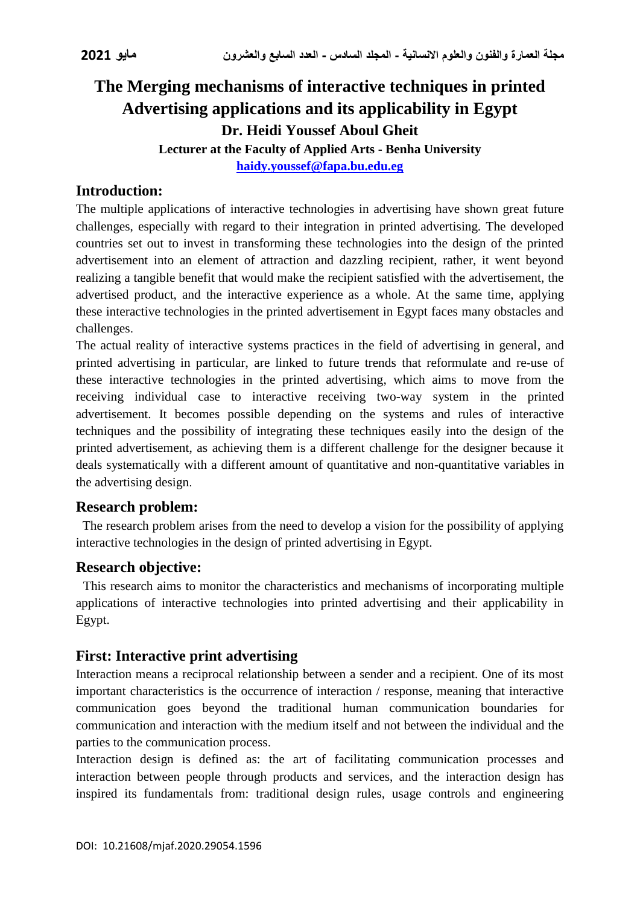# **The Merging mechanisms of interactive techniques in printed Advertising applications and its applicability in Egypt Dr. Heidi Youssef Aboul Gheit**

**Lecturer at the Faculty of Applied Arts - Benha University**

**[haidy.youssef@fapa.bu.edu.eg](mailto:haidy.youssef@fapa.bu.edu.eg)**

# **Introduction:**

The multiple applications of interactive technologies in advertising have shown great future challenges, especially with regard to their integration in printed advertising. The developed countries set out to invest in transforming these technologies into the design of the printed advertisement into an element of attraction and dazzling recipient, rather, it went beyond realizing a tangible benefit that would make the recipient satisfied with the advertisement, the advertised product, and the interactive experience as a whole. At the same time, applying these interactive technologies in the printed advertisement in Egypt faces many obstacles and challenges.

The actual reality of interactive systems practices in the field of advertising in general, and printed advertising in particular, are linked to future trends that reformulate and re-use of these interactive technologies in the printed advertising, which aims to move from the receiving individual case to interactive receiving two-way system in the printed advertisement. It becomes possible depending on the systems and rules of interactive techniques and the possibility of integrating these techniques easily into the design of the printed advertisement, as achieving them is a different challenge for the designer because it deals systematically with a different amount of quantitative and non-quantitative variables in the advertising design.

# **Research problem:**

The research problem arises from the need to develop a vision for the possibility of applying interactive technologies in the design of printed advertising in Egypt.

# **Research objective:**

This research aims to monitor the characteristics and mechanisms of incorporating multiple applications of interactive technologies into printed advertising and their applicability in Egypt.

# **First: Interactive print advertising**

Interaction means a reciprocal relationship between a sender and a recipient. One of its most important characteristics is the occurrence of interaction / response, meaning that interactive communication goes beyond the traditional human communication boundaries for communication and interaction with the medium itself and not between the individual and the parties to the communication process.

Interaction design is defined as: the art of facilitating communication processes and interaction between people through products and services, and the interaction design has inspired its fundamentals from: traditional design rules, usage controls and engineering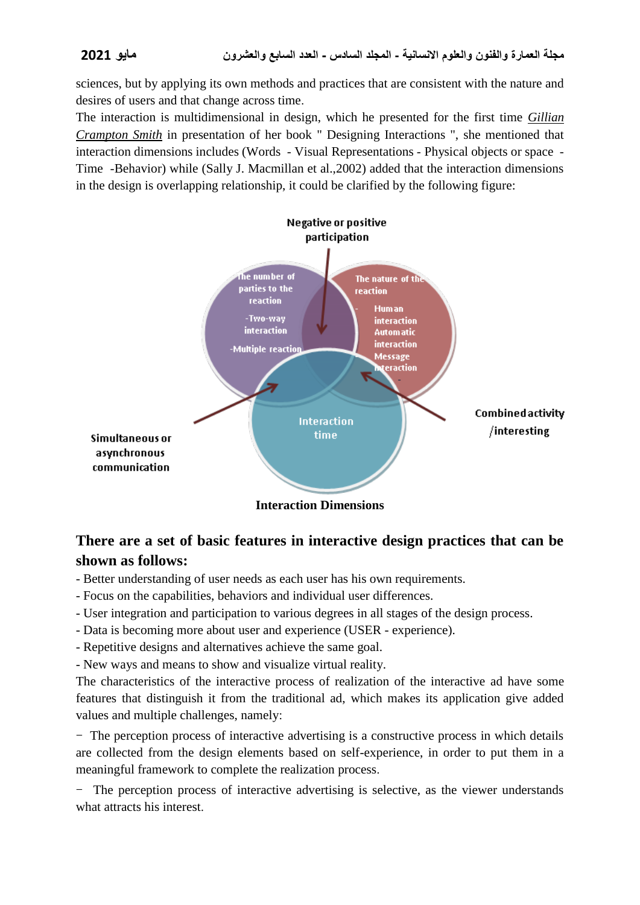sciences, but by applying its own methods and practices that are consistent with the nature and desires of users and that change across time.

The interaction is multidimensional in design, which he presented for the first time *Gillian Crampton Smith* in presentation of her book " Designing Interactions ", she mentioned that interaction dimensions includes (Words - Visual Representations - Physical objects or space - Time -Behavior) while (Sally J. Macmillan et al.,2002) added that the interaction dimensions in the design is overlapping relationship, it could be clarified by the following figure:



# **There are a set of basic features in interactive design practices that can be shown as follows:**

- Better understanding of user needs as each user has his own requirements.
- Focus on the capabilities, behaviors and individual user differences.
- User integration and participation to various degrees in all stages of the design process.
- Data is becoming more about user and experience (USER experience).
- Repetitive designs and alternatives achieve the same goal.
- New ways and means to show and visualize virtual reality.

The characteristics of the interactive process of realization of the interactive ad have some features that distinguish it from the traditional ad, which makes its application give added values and multiple challenges, namely:

- The perception process of interactive advertising is a constructive process in which details are collected from the design elements based on self-experience, in order to put them in a meaningful framework to complete the realization process.

The perception process of interactive advertising is selective, as the viewer understands what attracts his interest.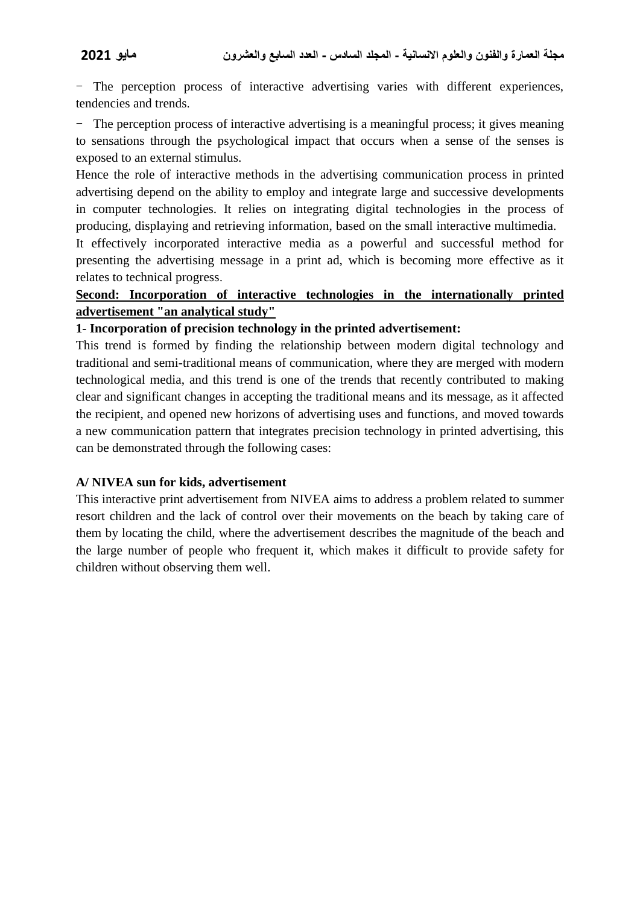- The perception process of interactive advertising varies with different experiences, tendencies and trends.

The perception process of interactive advertising is a meaningful process; it gives meaning to sensations through the psychological impact that occurs when a sense of the senses is exposed to an external stimulus.

Hence the role of interactive methods in the advertising communication process in printed advertising depend on the ability to employ and integrate large and successive developments in computer technologies. It relies on integrating digital technologies in the process of producing, displaying and retrieving information, based on the small interactive multimedia.

It effectively incorporated interactive media as a powerful and successful method for presenting the advertising message in a print ad, which is becoming more effective as it relates to technical progress.

#### **Second: Incorporation of interactive technologies in the internationally printed advertisement "an analytical study"**

#### **1- Incorporation of precision technology in the printed advertisement:**

This trend is formed by finding the relationship between modern digital technology and traditional and semi-traditional means of communication, where they are merged with modern technological media, and this trend is one of the trends that recently contributed to making clear and significant changes in accepting the traditional means and its message, as it affected the recipient, and opened new horizons of advertising uses and functions, and moved towards a new communication pattern that integrates precision technology in printed advertising, this can be demonstrated through the following cases:

#### **A/ NIVEA sun for kids, advertisement**

This interactive print advertisement from NIVEA aims to address a problem related to summer resort children and the lack of control over their movements on the beach by taking care of them by locating the child, where the advertisement describes the magnitude of the beach and the large number of people who frequent it, which makes it difficult to provide safety for children without observing them well.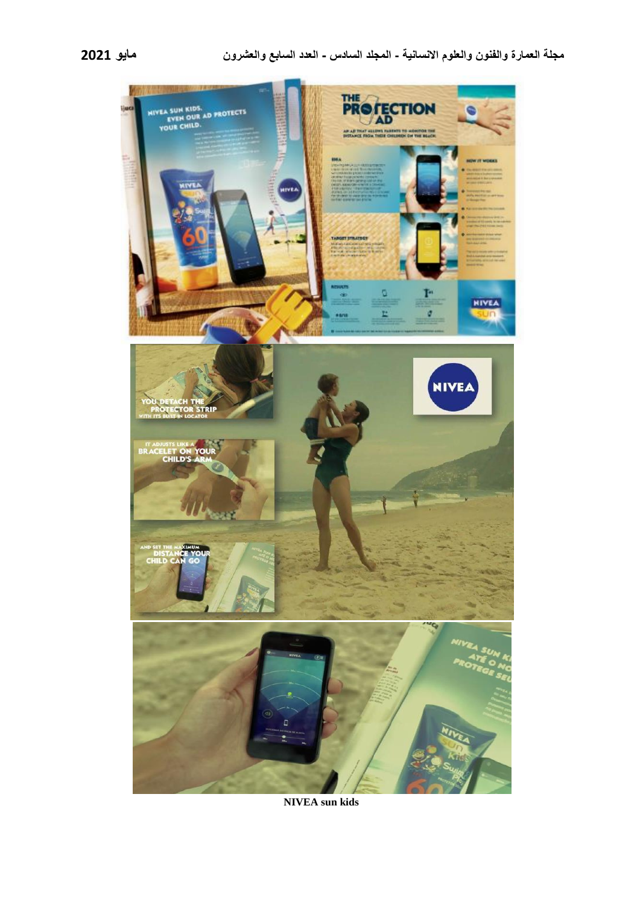

**NIVEA sun kids**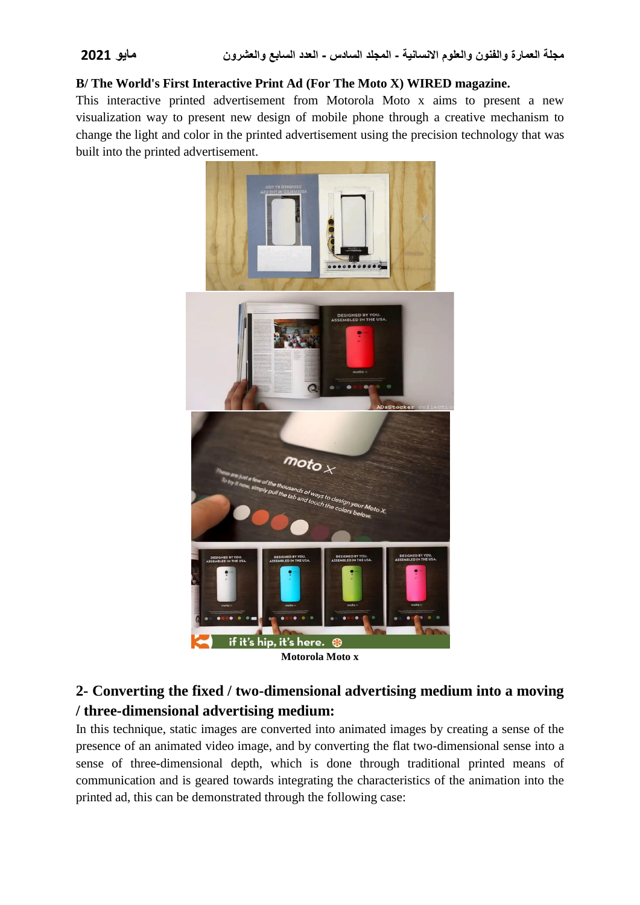#### **B/ The World's First Interactive Print Ad (For The Moto X) WIRED magazine.**

This interactive printed advertisement from Motorola Moto x aims to present a new visualization way to present new design of mobile phone through a creative mechanism to change the light and color in the printed advertisement using the precision technology that was built into the printed advertisement.



**Motorola Moto x**

# **2- Converting the fixed / two-dimensional advertising medium into a moving / three-dimensional advertising medium:**

In this technique, static images are converted into animated images by creating a sense of the presence of an animated video image, and by converting the flat two-dimensional sense into a sense of three-dimensional depth, which is done through traditional printed means of communication and is geared towards integrating the characteristics of the animation into the printed ad, this can be demonstrated through the following case: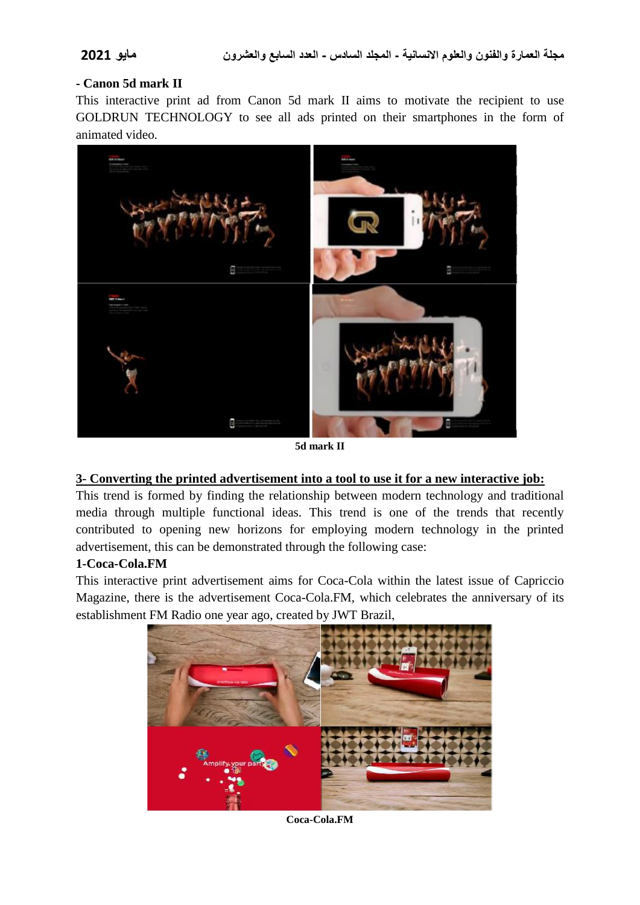#### **- Canon 5d mark II**

This interactive print ad from Canon 5d mark II aims to motivate the recipient to use GOLDRUN TECHNOLOGY to see all ads printed on their smartphones in the form of animated video.



**5d mark II**

#### **3- Converting the printed advertisement into a tool to use it for a new interactive job:**

This trend is formed by finding the relationship between modern technology and traditional media through multiple functional ideas. This trend is one of the trends that recently contributed to opening new horizons for employing modern technology in the printed advertisement, this can be demonstrated through the following case:

### **1-Coca-Cola.FM**

This interactive print advertisement aims for Coca-Cola within the latest issue of Capriccio Magazine, there is the advertisement Coca-Cola.FM, which celebrates the anniversary of its establishment FM Radio one year ago, created by JWT Brazil,



**Coca-Cola.FM**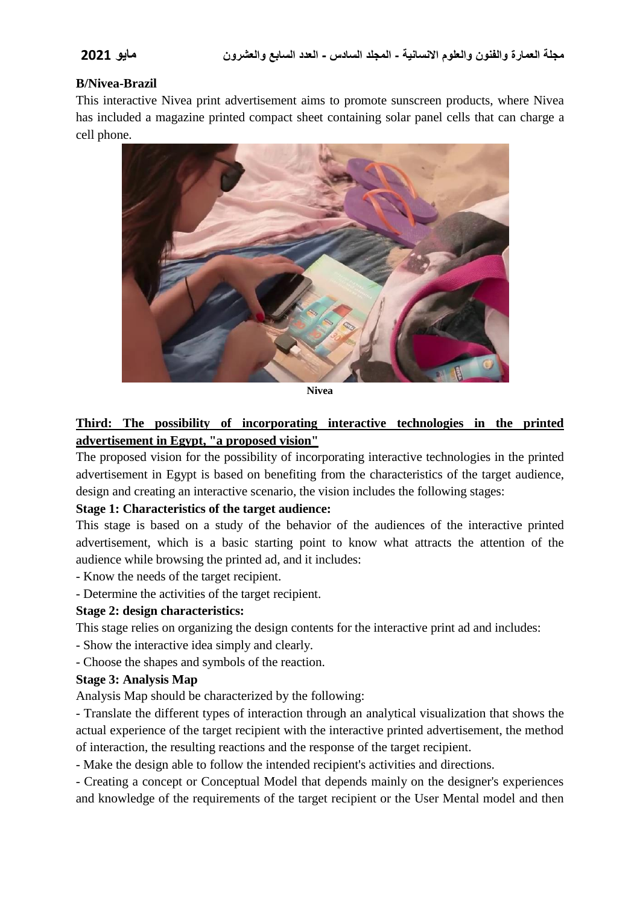#### **B/Nivea-Brazil**

This interactive Nivea print advertisement aims to promote sunscreen products, where Nivea has included a magazine printed compact sheet containing solar panel cells that can charge a cell phone.



**Nivea**

## **Third: The possibility of incorporating interactive technologies in the printed advertisement in Egypt, "a proposed vision"**

The proposed vision for the possibility of incorporating interactive technologies in the printed advertisement in Egypt is based on benefiting from the characteristics of the target audience, design and creating an interactive scenario, the vision includes the following stages:

#### **Stage 1: Characteristics of the target audience:**

This stage is based on a study of the behavior of the audiences of the interactive printed advertisement, which is a basic starting point to know what attracts the attention of the audience while browsing the printed ad, and it includes:

- Know the needs of the target recipient.

- Determine the activities of the target recipient.

### **Stage 2: design characteristics:**

This stage relies on organizing the design contents for the interactive print ad and includes:

- Show the interactive idea simply and clearly.
- Choose the shapes and symbols of the reaction.

### **Stage 3: Analysis Map**

Analysis Map should be characterized by the following:

- Translate the different types of interaction through an analytical visualization that shows the actual experience of the target recipient with the interactive printed advertisement, the method of interaction, the resulting reactions and the response of the target recipient.

- Make the design able to follow the intended recipient's activities and directions.

- Creating a concept or Conceptual Model that depends mainly on the designer's experiences and knowledge of the requirements of the target recipient or the User Mental model and then